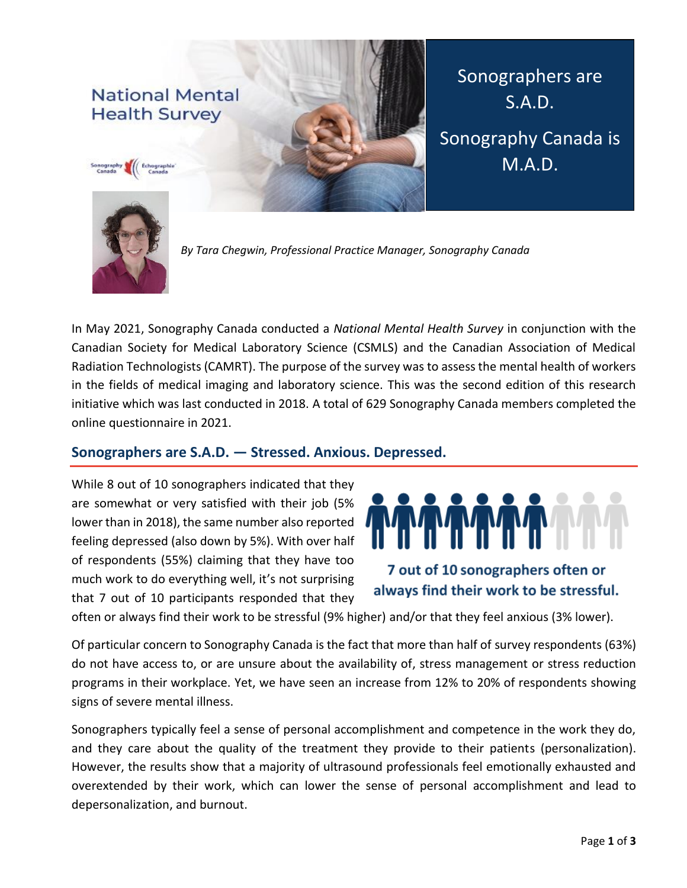# **National Mental Health Survey**



Sonographers are S.A.D. Sonography Canada is M.A.D.



*By Tara Chegwin, Professional Practice Manager, Sonography Canada*

In May 2021, Sonography Canada conducted a *National Mental Health Survey* in conjunction with the Canadian Society for Medical Laboratory Science (CSMLS) and the Canadian Association of Medical Radiation Technologists (CAMRT). The purpose of the survey was to assess the mental health of workers in the fields of medical imaging and laboratory science. This was the second edition of this research initiative which was last conducted in 2018. A total of 629 Sonography Canada members completed the online questionnaire in 2021.

#### **Sonographers are S.A.D. — Stressed. Anxious. Depressed.**

While 8 out of 10 sonographers indicated that they are somewhat or very satisfied with their job (5% lower than in 2018), the same number also reported feeling depressed (also down by 5%). With over half of respondents (55%) claiming that they have too much work to do everything well, it's not surprising that 7 out of 10 participants responded that they



# 7 out of 10 sonographers often or always find their work to be stressful.

often or always find their work to be stressful (9% higher) and/or that they feel anxious (3% lower).

Of particular concern to Sonography Canada is the fact that more than half of survey respondents (63%) do not have access to, or are unsure about the availability of, stress management or stress reduction programs in their workplace. Yet, we have seen an increase from 12% to 20% of respondents showing signs of severe mental illness.

Sonographers typically feel a sense of personal accomplishment and competence in the work they do, and they care about the quality of the treatment they provide to their patients (personalization). However, the results show that a majority of ultrasound professionals feel emotionally exhausted and overextended by their work, which can lower the sense of personal accomplishment and lead to depersonalization, and burnout.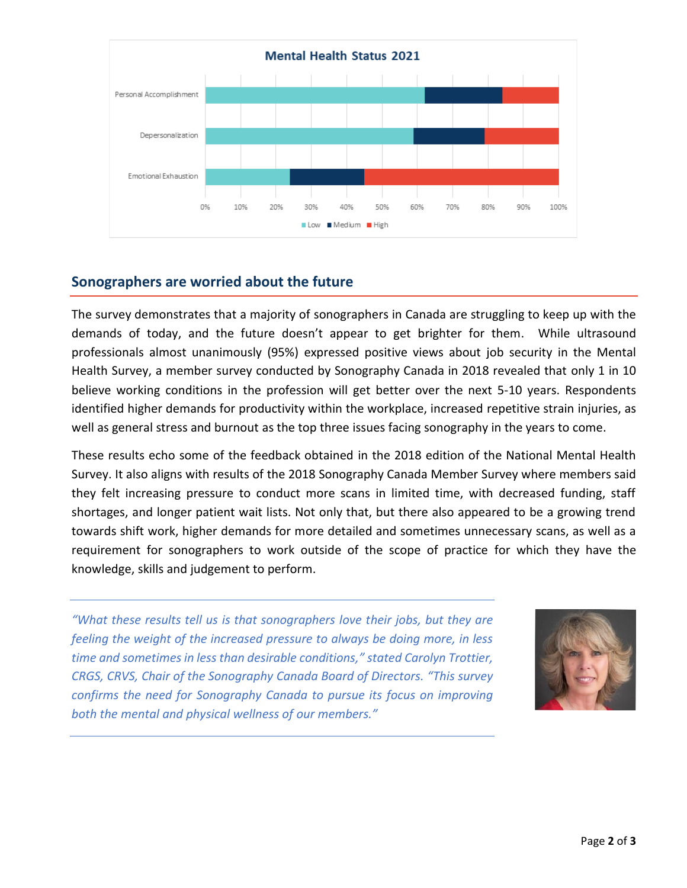

### **Sonographers are worried about the future**

The survey demonstrates that a majority of sonographers in Canada are struggling to keep up with the demands of today, and the future doesn't appear to get brighter for them. While ultrasound professionals almost unanimously (95%) expressed positive views about job security in the Mental Health Survey, a member survey conducted by Sonography Canada in 2018 revealed that only 1 in 10 believe working conditions in the profession will get better over the next 5-10 years. Respondents identified higher demands for productivity within the workplace, increased repetitive strain injuries, as well as general stress and burnout as the top three issues facing sonography in the years to come.

These results echo some of the feedback obtained in the 2018 edition of the National Mental Health Survey. It also aligns with results of the 2018 Sonography Canada Member Survey where members said they felt increasing pressure to conduct more scans in limited time, with decreased funding, staff shortages, and longer patient wait lists. Not only that, but there also appeared to be a growing trend towards shift work, higher demands for more detailed and sometimes unnecessary scans, as well as a requirement for sonographers to work outside of the scope of practice for which they have the knowledge, skills and judgement to perform.

*"What these results tell us is that sonographers love their jobs, but they are feeling the weight of the increased pressure to always be doing more, in less time and sometimes in less than desirable conditions," stated Carolyn Trottier, CRGS, CRVS, Chair of the Sonography Canada Board of Directors. "This survey confirms the need for Sonography Canada to pursue its focus on improving both the mental and physical wellness of our members."*